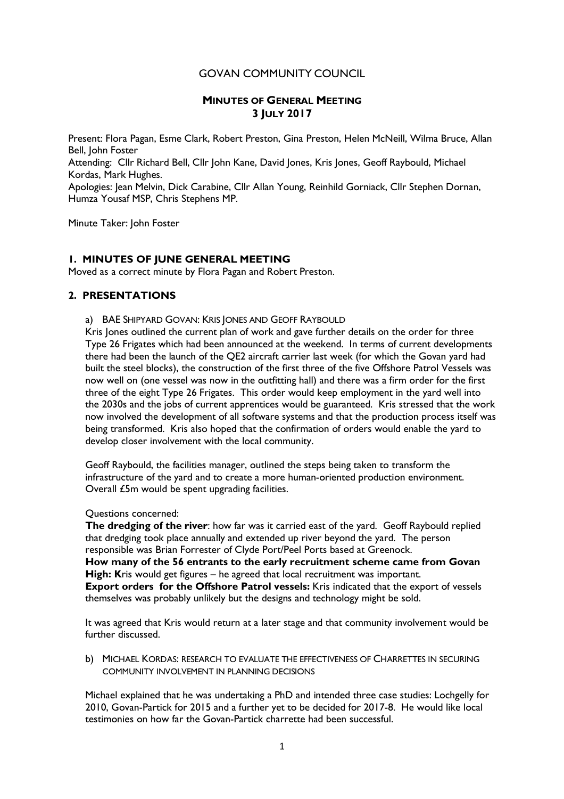# GOVAN COMMUNITY COUNCIL

### **MINUTES OF GENERAL MEETING 3 JULY 2017**

Present: Flora Pagan, Esme Clark, Robert Preston, Gina Preston, Helen McNeill, Wilma Bruce, Allan Bell, John Foster

Attending: Cllr Richard Bell, Cllr John Kane, David Jones, Kris Jones, Geoff Raybould, Michael Kordas, Mark Hughes.

Apologies: Jean Melvin, Dick Carabine, Cllr Allan Young, Reinhild Gorniack, Cllr Stephen Dornan, Humza Yousaf MSP, Chris Stephens MP.

Minute Taker: John Foster

### **1. MINUTES OF JUNE GENERAL MEETING**

Moved as a correct minute by Flora Pagan and Robert Preston.

#### **2. PRESENTATIONS**

a) BAE SHIPYARD GOVAN: KRIS JONES AND GEOFF RAYBOULD

Kris Jones outlined the current plan of work and gave further details on the order for three Type 26 Frigates which had been announced at the weekend. In terms of current developments there had been the launch of the QE2 aircraft carrier last week (for which the Govan yard had built the steel blocks), the construction of the first three of the five Offshore Patrol Vessels was now well on (one vessel was now in the outfitting hall) and there was a firm order for the first three of the eight Type 26 Frigates. This order would keep employment in the yard well into the 2030s and the jobs of current apprentices would be guaranteed. Kris stressed that the work now involved the development of all software systems and that the production process itself was being transformed. Kris also hoped that the confirmation of orders would enable the yard to develop closer involvement with the local community.

Geoff Raybould, the facilities manager, outlined the steps being taken to transform the infrastructure of the yard and to create a more human-oriented production environment. Overall £5m would be spent upgrading facilities.

Questions concerned:

**The dredging of the river**: how far was it carried east of the yard. Geoff Raybould replied that dredging took place annually and extended up river beyond the yard. The person responsible was Brian Forrester of Clyde Port/Peel Ports based at Greenock. **How many of the 56 entrants to the early recruitment scheme came from Govan High: K**ris would get figures – he agreed that local recruitment was important. **Export orders for the Offshore Patrol vessels:** Kris indicated that the export of vessels themselves was probably unlikely but the designs and technology might be sold.

It was agreed that Kris would return at a later stage and that community involvement would be further discussed.

b) MICHAEL KORDAS: RESEARCH TO EVALUATE THE EFFECTIVENESS OF CHARRETTES IN SECURING COMMUNITY INVOLVEMENT IN PLANNING DECISIONS

Michael explained that he was undertaking a PhD and intended three case studies: Lochgelly for 2010, Govan-Partick for 2015 and a further yet to be decided for 2017-8. He would like local testimonies on how far the Govan-Partick charrette had been successful.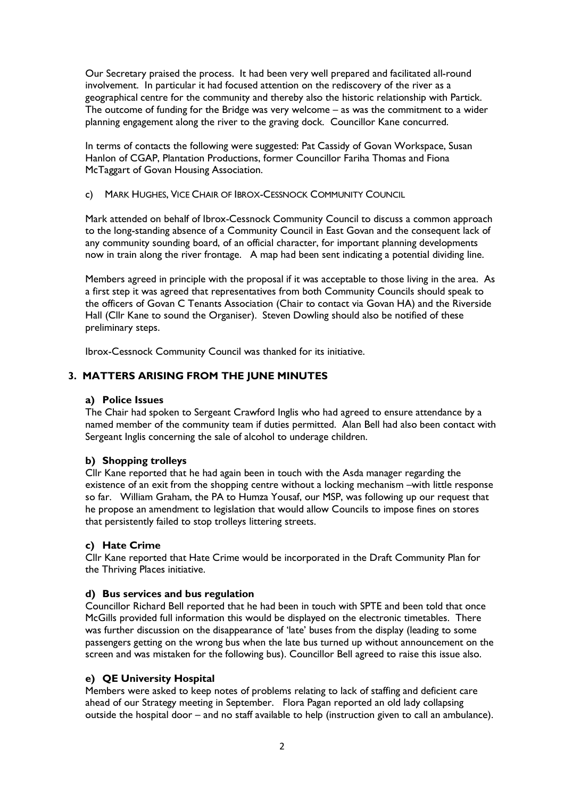Our Secretary praised the process. It had been very well prepared and facilitated all-round involvement. In particular it had focused attention on the rediscovery of the river as a geographical centre for the community and thereby also the historic relationship with Partick. The outcome of funding for the Bridge was very welcome – as was the commitment to a wider planning engagement along the river to the graving dock. Councillor Kane concurred.

In terms of contacts the following were suggested: Pat Cassidy of Govan Workspace, Susan Hanlon of CGAP, Plantation Productions, former Councillor Fariha Thomas and Fiona McTaggart of Govan Housing Association.

c) MARK HUGHES, VICE CHAIR OF IBROX-CESSNOCK COMMUNITY COUNCIL

Mark attended on behalf of Ibrox-Cessnock Community Council to discuss a common approach to the long-standing absence of a Community Council in East Govan and the consequent lack of any community sounding board, of an official character, for important planning developments now in train along the river frontage. A map had been sent indicating a potential dividing line.

Members agreed in principle with the proposal if it was acceptable to those living in the area. As a first step it was agreed that representatives from both Community Councils should speak to the officers of Govan C Tenants Association (Chair to contact via Govan HA) and the Riverside Hall (Cllr Kane to sound the Organiser). Steven Dowling should also be notified of these preliminary steps.

Ibrox-Cessnock Community Council was thanked for its initiative.

# **3. MATTERS ARISING FROM THE JUNE MINUTES**

#### **a) Police Issues**

The Chair had spoken to Sergeant Crawford Inglis who had agreed to ensure attendance by a named member of the community team if duties permitted. Alan Bell had also been contact with Sergeant Inglis concerning the sale of alcohol to underage children.

### **b) Shopping trolleys**

Cllr Kane reported that he had again been in touch with the Asda manager regarding the existence of an exit from the shopping centre without a locking mechanism –with little response so far. William Graham, the PA to Humza Yousaf, our MSP, was following up our request that he propose an amendment to legislation that would allow Councils to impose fines on stores that persistently failed to stop trolleys littering streets.

### **c) Hate Crime**

Cllr Kane reported that Hate Crime would be incorporated in the Draft Community Plan for the Thriving Places initiative.

#### **d) Bus services and bus regulation**

Councillor Richard Bell reported that he had been in touch with SPTE and been told that once McGills provided full information this would be displayed on the electronic timetables. There was further discussion on the disappearance of 'late' buses from the display (leading to some passengers getting on the wrong bus when the late bus turned up without announcement on the screen and was mistaken for the following bus). Councillor Bell agreed to raise this issue also.

### **e) QE University Hospital**

Members were asked to keep notes of problems relating to lack of staffing and deficient care ahead of our Strategy meeting in September. Flora Pagan reported an old lady collapsing outside the hospital door – and no staff available to help (instruction given to call an ambulance).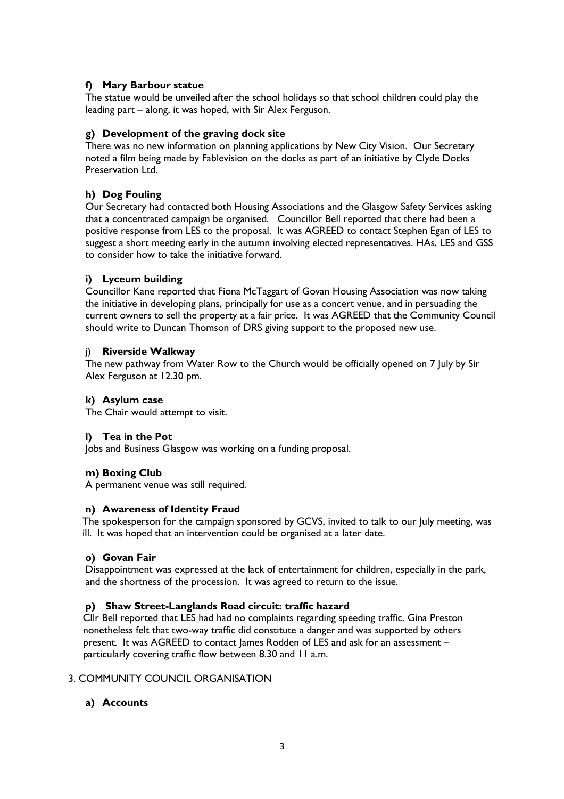# **f) Mary Barbour statue**

The statue would be unveiled after the school holidays so that school children could play the leading part – along, it was hoped, with Sir Alex Ferguson.

# **g) Development of the graving dock site**

There was no new information on planning applications by New City Vision. Our Secretary noted a film being made by Fablevision on the docks as part of an initiative by Clyde Docks Preservation Ltd.

# **h) Dog Fouling**

Our Secretary had contacted both Housing Associations and the Glasgow Safety Services asking that a concentrated campaign be organised. Councillor Bell reported that there had been a positive response from LES to the proposal. It was AGREED to contact Stephen Egan of LES to suggest a short meeting early in the autumn involving elected representatives. HAs, LES and GSS to consider how to take the initiative forward.

### **i) Lyceum building**

Councillor Kane reported that Fiona McTaggart of Govan Housing Association was now taking the initiative in developing plans, principally for use as a concert venue, and in persuading the current owners to sell the property at a fair price. It was AGREED that the Community Council should write to Duncan Thomson of DRS giving support to the proposed new use.

### j) **Riverside Walkway**

The new pathway from Water Row to the Church would be officially opened on 7 July by Sir Alex Ferguson at 12.30 pm.

### **k) Asylum case**

The Chair would attempt to visit.

### **l) Tea in the Pot**

Jobs and Business Glasgow was working on a funding proposal.

### **m) Boxing Club**

A permanent venue was still required.

### **n) Awareness of Identity Fraud**

The spokesperson for the campaign sponsored by GCVS, invited to talk to our July meeting, was ill. It was hoped that an intervention could be organised at a later date.

### **o) Govan Fair**

Disappointment was expressed at the lack of entertainment for children, especially in the park, and the shortness of the procession. It was agreed to return to the issue.

### **p) Shaw Street-Langlands Road circuit: traffic hazard**

 Cllr Bell reported that LES had had no complaints regarding speeding traffic. Gina Preston nonetheless felt that two-way traffic did constitute a danger and was supported by others present. It was AGREED to contact James Rodden of LES and ask for an assessment – particularly covering traffic flow between 8.30 and 11 a.m.

### 3. COMMUNITY COUNCIL ORGANISATION

### **a) Accounts**